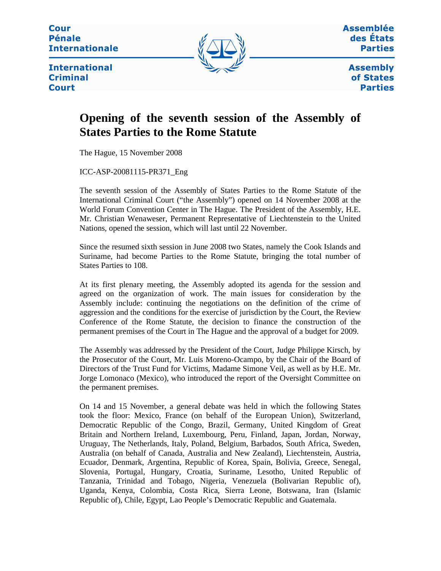**Cour Pénale Internationale** 



Assemblée des États **Parties** 

**International Criminal Court** 

**Assembly** of States **Parties** 

## **Opening of the seventh session of the Assembly of States Parties to the Rome Statute**

The Hague, 15 November 2008

ICC-ASP-20081115-PR371\_Eng

The seventh session of the Assembly of States Parties to the Rome Statute of the International Criminal Court ("the Assembly") opened on 14 November 2008 at the World Forum Convention Center in The Hague. The President of the Assembly, H.E. Mr. Christian Wenaweser, Permanent Representative of Liechtenstein to the United Nations, opened the session, which will last until 22 November.

Since the resumed sixth session in June 2008 two States, namely the Cook Islands and Suriname, had become Parties to the Rome Statute, bringing the total number of States Parties to 108.

At its first plenary meeting, the Assembly adopted its agenda for the session and agreed on the organization of work. The main issues for consideration by the Assembly include: continuing the negotiations on the definition of the crime of aggression and the conditions for the exercise of jurisdiction by the Court, the Review Conference of the Rome Statute, the decision to finance the construction of the permanent premises of the Court in The Hague and the approval of a budget for 2009.

The Assembly was addressed by the President of the Court, Judge Philippe Kirsch, by the Prosecutor of the Court, Mr. Luis Moreno-Ocampo, by the Chair of the Board of Directors of the Trust Fund for Victims, Madame Simone Veil, as well as by H.E. Mr. Jorge Lomonaco (Mexico), who introduced the report of the Oversight Committee on the permanent premises.

On 14 and 15 November, a general debate was held in which the following States took the floor: Mexico, France (on behalf of the European Union), Switzerland, Democratic Republic of the Congo, Brazil, Germany, United Kingdom of Great Britain and Northern Ireland, Luxembourg, Peru, Finland, Japan, Jordan, Norway, Uruguay, The Netherlands, Italy, Poland, Belgium, Barbados, South Africa, Sweden, Australia (on behalf of Canada, Australia and New Zealand), Liechtenstein, Austria, Ecuador, Denmark, Argentina, Republic of Korea, Spain, Bolivia, Greece, Senegal, Slovenia, Portugal, Hungary, Croatia, Suriname, Lesotho, United Republic of Tanzania, Trinidad and Tobago, Nigeria, Venezuela (Bolivarian Republic of), Uganda, Kenya, Colombia, Costa Rica, Sierra Leone, Botswana, Iran (Islamic Republic of), Chile, Egypt, Lao People's Democratic Republic and Guatemala.